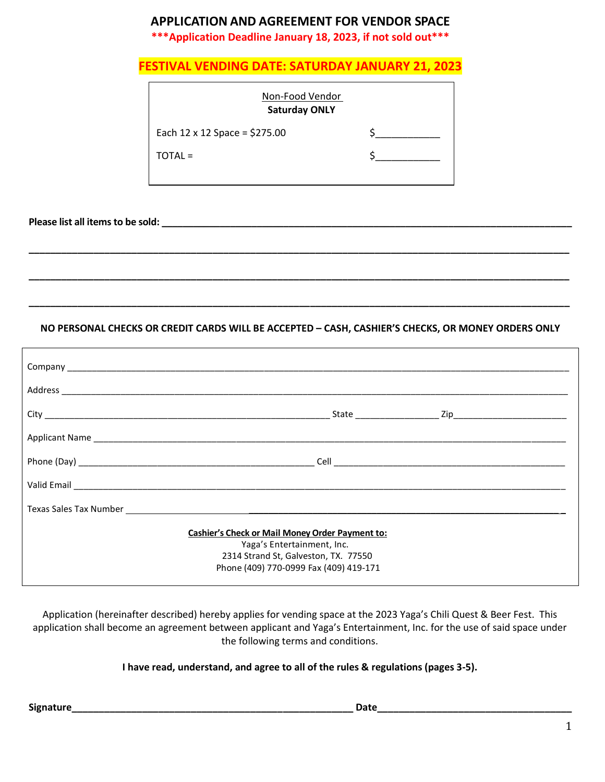# **APPLICATION AND AGREEMENT FOR VENDOR SPACE**

**\*\*\*Application Deadline January 18, 2023, if not sold out\*\*\***

|  |  | <b>FESTIVAL VENDING DATE: SATURDAY JANUARY 21, 2023</b> |
|--|--|---------------------------------------------------------|
|--|--|---------------------------------------------------------|

| Non-Food Vendor<br><b>Saturday ONLY</b> |  |  |  |  |  |
|-----------------------------------------|--|--|--|--|--|
| Each $12 \times 12$ Space = \$275.00    |  |  |  |  |  |
| TOTAL =                                 |  |  |  |  |  |
|                                         |  |  |  |  |  |

**Please list all items to be sold: \_\_\_\_\_\_\_\_\_\_\_\_\_\_\_\_\_\_\_\_\_\_\_\_\_\_\_\_\_\_\_\_\_\_\_\_\_\_\_\_\_\_\_\_\_\_\_\_\_\_\_\_\_\_\_\_\_\_\_\_\_\_\_\_\_\_\_\_\_\_\_\_\_\_\_\_\_**

#### **NO PERSONAL CHECKS OR CREDIT CARDS WILL BE ACCEPTED – CASH, CASHIER'S CHECKS, OR MONEY ORDERS ONLY**

**\_\_\_\_\_\_\_\_\_\_\_\_\_\_\_\_\_\_\_\_\_\_\_\_\_\_\_\_\_\_\_\_\_\_\_\_\_\_\_\_\_\_\_\_\_\_\_\_\_\_\_\_\_\_\_\_\_\_\_\_\_\_\_\_\_\_\_\_\_\_\_\_\_\_\_\_\_\_\_\_\_\_\_\_\_\_\_\_\_\_\_\_\_\_\_\_\_\_\_\_**

**\_\_\_\_\_\_\_\_\_\_\_\_\_\_\_\_\_\_\_\_\_\_\_\_\_\_\_\_\_\_\_\_\_\_\_\_\_\_\_\_\_\_\_\_\_\_\_\_\_\_\_\_\_\_\_\_\_\_\_\_\_\_\_\_\_\_\_\_\_\_\_\_\_\_\_\_\_\_\_\_\_\_\_\_\_\_\_\_\_\_\_\_\_\_\_\_\_\_\_\_**

**\_\_\_\_\_\_\_\_\_\_\_\_\_\_\_\_\_\_\_\_\_\_\_\_\_\_\_\_\_\_\_\_\_\_\_\_\_\_\_\_\_\_\_\_\_\_\_\_\_\_\_\_\_\_\_\_\_\_\_\_\_\_\_\_\_\_\_\_\_\_\_\_\_\_\_\_\_\_\_\_\_\_\_\_\_\_\_\_\_\_\_\_\_\_\_\_\_\_\_\_**

| <b>Cashier's Check or Mail Money Order Payment to:</b><br>Yaga's Entertainment, Inc.<br>2314 Strand St, Galveston, TX. 77550<br>Phone (409) 770-0999 Fax (409) 419-171 |  |  |
|------------------------------------------------------------------------------------------------------------------------------------------------------------------------|--|--|

Application (hereinafter described) hereby applies for vending space at the 2023 Yaga's Chili Quest & Beer Fest. This application shall become an agreement between applicant and Yaga's Entertainment, Inc. for the use of said space under the following terms and conditions.

#### **I have read, understand, and agree to all of the rules & regulations (pages 3-5).**

**Signature\_\_\_\_\_\_\_\_\_\_\_\_\_\_\_\_\_\_\_\_\_\_\_\_\_\_\_\_\_\_\_\_\_\_\_\_\_\_\_\_\_\_\_\_\_\_\_\_\_\_\_\_ Date\_\_\_\_\_\_\_\_\_\_\_\_\_\_\_\_\_\_\_\_\_\_\_\_\_\_\_\_\_\_\_\_\_\_\_\_**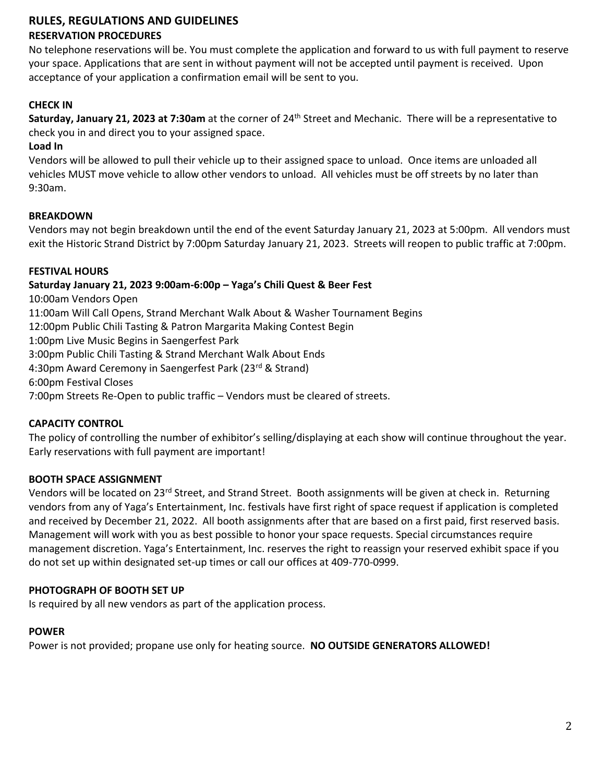# **RULES, REGULATIONS AND GUIDELINES RESERVATION PROCEDURES**

No telephone reservations will be. You must complete the application and forward to us with full payment to reserve your space. Applications that are sent in without payment will not be accepted until payment is received. Upon acceptance of your application a confirmation email will be sent to you.

# **CHECK IN**

**Saturday, January 21, 2023 at 7:30am** at the corner of 24<sup>th</sup> Street and Mechanic. There will be a representative to check you in and direct you to your assigned space.

## **Load In**

Vendors will be allowed to pull their vehicle up to their assigned space to unload. Once items are unloaded all vehicles MUST move vehicle to allow other vendors to unload. All vehicles must be off streets by no later than 9:30am.

## **BREAKDOWN**

Vendors may not begin breakdown until the end of the event Saturday January 21, 2023 at 5:00pm. All vendors must exit the Historic Strand District by 7:00pm Saturday January 21, 2023. Streets will reopen to public traffic at 7:00pm.

## **FESTIVAL HOURS**

# **Saturday January 21, 2023 9:00am-6:00p – Yaga's Chili Quest & Beer Fest**

10:00am Vendors Open 11:00am Will Call Opens, Strand Merchant Walk About & Washer Tournament Begins 12:00pm Public Chili Tasting & Patron Margarita Making Contest Begin 1:00pm Live Music Begins in Saengerfest Park 3:00pm Public Chili Tasting & Strand Merchant Walk About Ends 4:30pm Award Ceremony in Saengerfest Park (23<sup>rd</sup> & Strand) 6:00pm Festival Closes 7:00pm Streets Re-Open to public traffic – Vendors must be cleared of streets.

# **CAPACITY CONTROL**

The policy of controlling the number of exhibitor's selling/displaying at each show will continue throughout the year. Early reservations with full payment are important!

### **BOOTH SPACE ASSIGNMENT**

Vendors will be located on 23<sup>rd</sup> Street, and Strand Street. Booth assignments will be given at check in. Returning vendors from any of Yaga's Entertainment, Inc. festivals have first right of space request if application is completed and received by December 21, 2022. All booth assignments after that are based on a first paid, first reserved basis. Management will work with you as best possible to honor your space requests. Special circumstances require management discretion. Yaga's Entertainment, Inc. reserves the right to reassign your reserved exhibit space if you do not set up within designated set-up times or call our offices at 409-770-0999.

### **PHOTOGRAPH OF BOOTH SET UP**

Is required by all new vendors as part of the application process.

### **POWER**

Power is not provided; propane use only for heating source. **NO OUTSIDE GENERATORS ALLOWED!**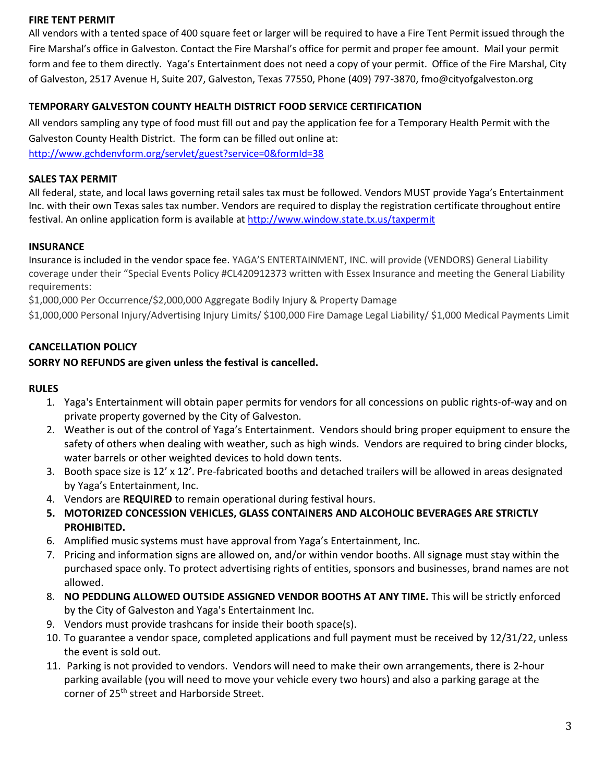### **FIRE TENT PERMIT**

All vendors with a tented space of 400 square feet or larger will be required to have a Fire Tent Permit issued through the Fire Marshal's office in Galveston. Contact the Fire Marshal's office for permit and proper fee amount. Mail your permit form and fee to them directly. Yaga's Entertainment does not need a copy of your permit. Office of the Fire Marshal, City of Galveston, 2517 Avenue H, Suite 207, Galveston, Texas 77550, Phone (409) 797-3870, fmo@cityofgalveston.org

# **TEMPORARY GALVESTON COUNTY HEALTH DISTRICT FOOD SERVICE CERTIFICATION**

All vendors sampling any type of food must fill out and pay the application fee for a Temporary Health Permit with the Galveston County Health District. The form can be filled out online at:

<http://www.gchdenvform.org/servlet/guest?service=0&formId=38>

## **SALES TAX PERMIT**

All federal, state, and local laws governing retail sales tax must be followed. Vendors MUST provide Yaga's Entertainment Inc. with their own Texas sales tax number. Vendors are required to display the registration certificate throughout entire festival. An online application form is available a[t http://www.window.state.tx.us/taxpermit](http://www.window.state.tx.us/taxpermit)

# **INSURANCE**

Insurance is included in the vendor space fee. YAGA'S ENTERTAINMENT, INC. will provide (VENDORS) General Liability coverage under their "Special Events Policy #CL420912373 written with Essex Insurance and meeting the General Liability requirements:

\$1,000,000 Per Occurrence/\$2,000,000 Aggregate Bodily Injury & Property Damage

\$1,000,000 Personal Injury/Advertising Injury Limits/ \$100,000 Fire Damage Legal Liability/ \$1,000 Medical Payments Limit

# **CANCELLATION POLICY**

# **SORRY NO REFUNDS are given unless the festival is cancelled.**

### **RULES**

- 1. Yaga's Entertainment will obtain paper permits for vendors for all concessions on public rights-of-way and on private property governed by the City of Galveston.
- 2. Weather is out of the control of Yaga's Entertainment. Vendors should bring proper equipment to ensure the safety of others when dealing with weather, such as high winds. Vendors are required to bring cinder blocks, water barrels or other weighted devices to hold down tents.
- 3. Booth space size is 12' x 12'. Pre-fabricated booths and detached trailers will be allowed in areas designated by Yaga's Entertainment, Inc.
- 4. Vendors are **REQUIRED** to remain operational during festival hours.
- **5. MOTORIZED CONCESSION VEHICLES, GLASS CONTAINERS AND ALCOHOLIC BEVERAGES ARE STRICTLY PROHIBITED.**
- 6. Amplified music systems must have approval from Yaga's Entertainment, Inc.
- 7. Pricing and information signs are allowed on, and/or within vendor booths. All signage must stay within the purchased space only. To protect advertising rights of entities, sponsors and businesses, brand names are not allowed.
- 8. **NO PEDDLING ALLOWED OUTSIDE ASSIGNED VENDOR BOOTHS AT ANY TIME.** This will be strictly enforced by the City of Galveston and Yaga's Entertainment Inc.
- 9. Vendors must provide trashcans for inside their booth space(s).
- 10. To guarantee a vendor space, completed applications and full payment must be received by 12/31/22, unless the event is sold out.
- 11. Parking is not provided to vendors. Vendors will need to make their own arrangements, there is 2-hour parking available (you will need to move your vehicle every two hours) and also a parking garage at the corner of 25<sup>th</sup> street and Harborside Street.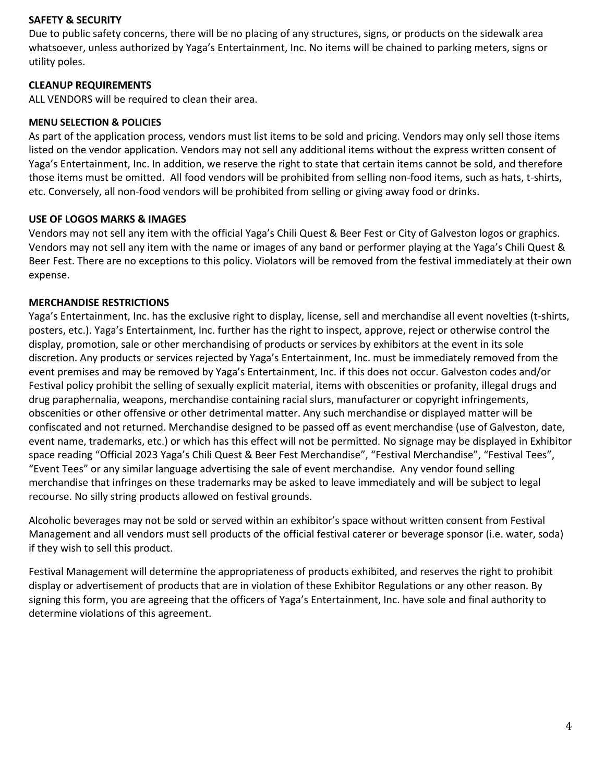#### **SAFETY & SECURITY**

Due to public safety concerns, there will be no placing of any structures, signs, or products on the sidewalk area whatsoever, unless authorized by Yaga's Entertainment, Inc. No items will be chained to parking meters, signs or utility poles.

#### **CLEANUP REQUIREMENTS**

ALL VENDORS will be required to clean their area.

#### **MENU SELECTION & POLICIES**

As part of the application process, vendors must list items to be sold and pricing. Vendors may only sell those items listed on the vendor application. Vendors may not sell any additional items without the express written consent of Yaga's Entertainment, Inc. In addition, we reserve the right to state that certain items cannot be sold, and therefore those items must be omitted. All food vendors will be prohibited from selling non-food items, such as hats, t-shirts, etc. Conversely, all non-food vendors will be prohibited from selling or giving away food or drinks.

#### **USE OF LOGOS MARKS & IMAGES**

Vendors may not sell any item with the official Yaga's Chili Quest & Beer Fest or City of Galveston logos or graphics. Vendors may not sell any item with the name or images of any band or performer playing at the Yaga's Chili Quest & Beer Fest. There are no exceptions to this policy. Violators will be removed from the festival immediately at their own expense.

#### **MERCHANDISE RESTRICTIONS**

Yaga's Entertainment, Inc. has the exclusive right to display, license, sell and merchandise all event novelties (t-shirts, posters, etc.). Yaga's Entertainment, Inc. further has the right to inspect, approve, reject or otherwise control the display, promotion, sale or other merchandising of products or services by exhibitors at the event in its sole discretion. Any products or services rejected by Yaga's Entertainment, Inc. must be immediately removed from the event premises and may be removed by Yaga's Entertainment, Inc. if this does not occur. Galveston codes and/or Festival policy prohibit the selling of sexually explicit material, items with obscenities or profanity, illegal drugs and drug paraphernalia, weapons, merchandise containing racial slurs, manufacturer or copyright infringements, obscenities or other offensive or other detrimental matter. Any such merchandise or displayed matter will be confiscated and not returned. Merchandise designed to be passed off as event merchandise (use of Galveston, date, event name, trademarks, etc.) or which has this effect will not be permitted. No signage may be displayed in Exhibitor space reading "Official 2023 Yaga's Chili Quest & Beer Fest Merchandise", "Festival Merchandise", "Festival Tees", "Event Tees" or any similar language advertising the sale of event merchandise. Any vendor found selling merchandise that infringes on these trademarks may be asked to leave immediately and will be subject to legal recourse. No silly string products allowed on festival grounds.

Alcoholic beverages may not be sold or served within an exhibitor's space without written consent from Festival Management and all vendors must sell products of the official festival caterer or beverage sponsor (i.e. water, soda) if they wish to sell this product.

Festival Management will determine the appropriateness of products exhibited, and reserves the right to prohibit display or advertisement of products that are in violation of these Exhibitor Regulations or any other reason. By signing this form, you are agreeing that the officers of Yaga's Entertainment, Inc. have sole and final authority to determine violations of this agreement.